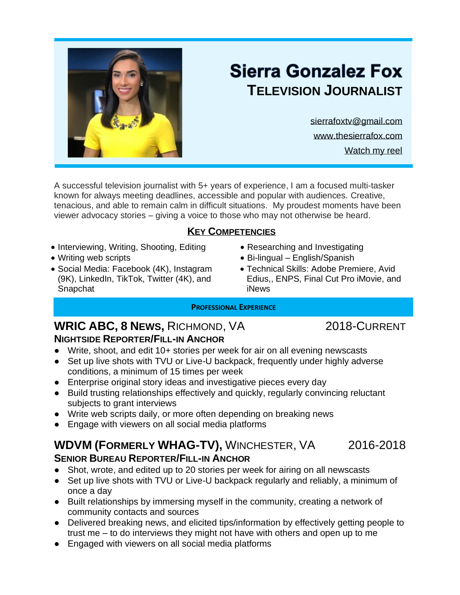

# **Sierra Gonzalez Fox TELEVISION JOURNALIST**

[sierrafoxtv@gmail.com](mailto:sierrafoxtv@gmail.com) [www.thesierrafox.com](http://www.thesierrafox.com/) [Watch my reel](https://m.youtube.com/watch?v=jy2djrSy-wY)

A successful television journalist with 5+ years of experience, I am a focused multi-tasker known for always meeting deadlines, accessible and popular with audiences. Creative, tenacious, and able to remain calm in difficult situations. My proudest moments have been viewer advocacy stories – giving a voice to those who may not otherwise be heard.

## **KEY COMPETENCIES**

- Interviewing, Writing, Shooting, Editing
- Writing web scripts
- Social Media: Facebook (4K), Instagram (9K), LinkedIn, TikTok, Twitter (4K), and Snapchat
- Researching and Investigating
- Bi-lingual English/Spanish
- Technical Skills: Adobe Premiere, Avid Edius,, ENPS, Final Cut Pro iMovie, and iNews

## **PROFESSIONAL EXPERIENCE**

## **WRIC ABC, 8 NEWS,** RICHMOND, VA 2018-CURRENT **NIGHTSIDE REPORTER/FILL-IN ANCHOR**

- Write, shoot, and edit 10+ stories per week for air on all evening newscasts
- Set up live shots with TVU or Live-U backpack, frequently under highly adverse conditions, a minimum of 15 times per week
- Enterprise original story ideas and investigative pieces every day
- Build trusting relationships effectively and quickly, regularly convincing reluctant subjects to grant interviews
- Write web scripts daily, or more often depending on breaking news
- Engage with viewers on all social media platforms

## **WDVM (FORMERLY WHAG-TV),** WINCHESTER, VA 2016-2018 **SENIOR BUREAU REPORTER/FILL-IN ANCHOR**

- Shot, wrote, and edited up to 20 stories per week for airing on all newscasts
- Set up live shots with TVU or Live-U backpack regularly and reliably, a minimum of once a day
- Built relationships by immersing myself in the community, creating a network of community contacts and sources
- Delivered breaking news, and elicited tips/information by effectively getting people to trust me – to do interviews they might not have with others and open up to me
- Engaged with viewers on all social media platforms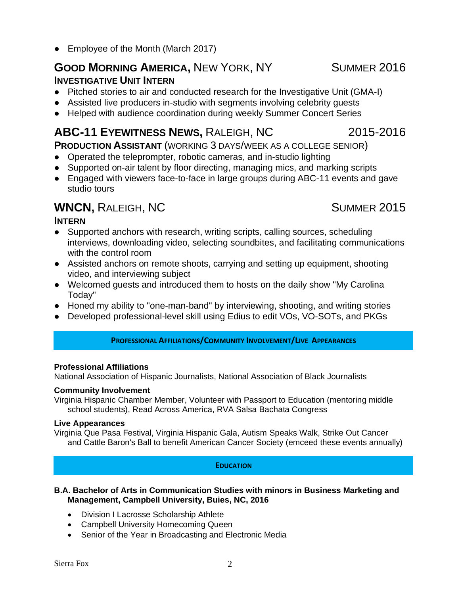• Employee of the Month (March 2017)

## **GOOD MORNING AMERICA,** NEW YORK, NY SUMMER 2016

## **INVESTIGATIVE UNIT INTERN**

- Pitched stories to air and conducted research for the Investigative Unit (GMA-I)
- Assisted live producers in-studio with segments involving celebrity guests
- Helped with audience coordination during weekly Summer Concert Series

## **ABC-11 EYEWITNESS NEWS,** RALEIGH, NC 2015-2016

**PRODUCTION ASSISTANT** (WORKING 3 DAYS/WEEK AS A COLLEGE SENIOR)

- Operated the teleprompter, robotic cameras, and in-studio lighting
- Supported on-air talent by floor directing, managing mics, and marking scripts
- Engaged with viewers face-to-face in large groups during ABC-11 events and gave studio tours

## **WNCN, RALEIGH, NC** SUMMER 2015

## **INTERN**

- Supported anchors with research, writing scripts, calling sources, scheduling interviews, downloading video, selecting soundbites, and facilitating communications with the control room
- Assisted anchors on remote shoots, carrying and setting up equipment, shooting video, and interviewing subject
- Welcomed guests and introduced them to hosts on the daily show "My Carolina Today"
- Honed my ability to "one-man-band" by interviewing, shooting, and writing stories
- Developed professional-level skill using Edius to edit VOs, VO-SOTs, and PKGs

## **PROFESSIONAL AFFILIATIONS/COMMUNITY INVOLVEMENT/LIVE APPEARANCES**

## **Professional Affiliations**

National Association of Hispanic Journalists, National Association of Black Journalists

## **Community Involvement**

Virginia Hispanic Chamber Member, Volunteer with Passport to Education (mentoring middle school students), Read Across America, RVA Salsa Bachata Congress

## **Live Appearances**

Virginia Que Pasa Festival, Virginia Hispanic Gala, Autism Speaks Walk, Strike Out Cancer and Cattle Baron's Ball to benefit American Cancer Society (emceed these events annually)

## **EDUCATION**

#### **B.A. Bachelor of Arts in Communication Studies with minors in Business Marketing and Management, Campbell University, Buies, NC, 2016**

- Division I Lacrosse Scholarship Athlete
- Campbell University Homecoming Queen
- Senior of the Year in Broadcasting and Electronic Media